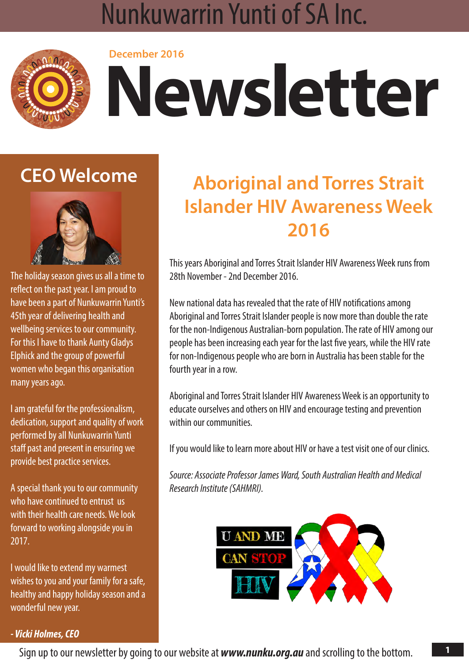### **NUNKUWARRIN YUNTI OF SA INC. December 2016 Newsletter** Nunkuwarrin Yunti of SA Inc.



# **December 2016 Newsletter**

## **CEO Welcome**



The holiday season gives us all a time to reflect on the past year. I am proud to have been a part of Nunkuwarrin Yunti's 45th year of delivering health and wellbeing services to our community. For this I have to thank Aunty Gladys Elphick and the group of powerful women who began this organisation many years ago.

I am grateful for the professionalism, dedication, support and quality of work performed by all Nunkuwarrin Yunti staff past and present in ensuring we provide best practice services.

A special thank you to our community who have continued to entrust us with their health care needs. We look forward to working alongside you in 2017.

I would like to extend my warmest wishes to you and your family for a safe, healthy and happy holiday season and a wonderful new year.

## **Aboriginal and Torres Strait Islander HIV Awareness Week 2016**

This years Aboriginal and Torres Strait Islander HIV Awareness Week runs from 28th November - 2nd December 2016.

New national data has revealed that the rate of HIV notifications among Aboriginal and Torres Strait Islander people is now more than double the rate for the non-Indigenous Australian-born population. The rate of HIV among our people has been increasing each year for the last five years, while the HIV rate for non-Indigenous people who are born in Australia has been stable for the fourth year in a row.

Aboriginal and Torres Strait Islander HIV Awareness Week is an opportunity to educate ourselves and others on HIV and encourage testing and prevention within our communities.

If you would like to learn more about HIV or have a test visit one of our clinics.

*Source: Associate Professor James Ward, South Australian Health and Medical Research Institute (SAHMRI).*



### *- Vicki Holmes, CEO*

Sign up to our newsletter by going to our website at *<www.nunku.org.au>* and scrolling to the bottom.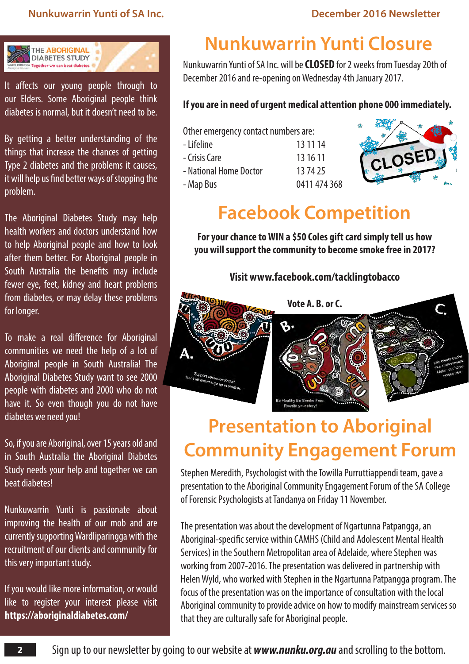### **Nunkuwarrin Yunti of SA Inc. December 2016 Newsletter**



It affects our young people through to our Elders. Some Aboriginal people think diabetes is normal, but it doesn't need to be.

By getting a better understanding of the things that increase the chances of getting Type 2 diabetes and the problems it causes, it will help us find better ways of stopping the problem.

The Aboriginal Diabetes Study may help health workers and doctors understand how to help Aboriginal people and how to look after them better. For Aboriginal people in South Australia the benefits may include fewer eye, feet, kidney and heart problems from diabetes, or may delay these problems for longer.

To make a real difference for Aboriginal communities we need the help of a lot of Aboriginal people in South Australia! The Aboriginal Diabetes Study want to see 2000 people with diabetes and 2000 who do not have it. So even though you do not have diabetes we need you!

So, if you are Aboriginal, over 15 years old and in South Australia the Aboriginal Diabetes Study needs your help and together we can beat diabetes!

Nunkuwarrin Yunti is passionate about improving the health of our mob and are currently supporting Wardliparingga with the recruitment of our clients and community for this very important study.

If you would like more information, or would like to register your interest please visit **<https://aboriginaldiabetes.com/>**

## **Nunkuwarrin Yunti Closure**

Nunkuwarrin Yunti of SA Inc. will be **CLOSED** for 2 weeks from Tuesday 20th of December 2016 and re-opening on Wednesday 4th January 2017.

### **If you are in need of urgent medical attention phone 000 immediately.**

Other emergency contact numbers are: - Lifeline 13 11 14

- Crisis Care 13 16 11
- National Home Doctor 13 74 25
	-
- Map Bus 0411 474 368



### **Facebook Competition**

**For your chance to WIN a \$50 Coles gift card simply tell us how you will support the community to become smoke free in 2017?**

**Visit www.facebook.com/tacklingtobacco**



## **Presentation to Aboriginal Community Engagement Forum**

Stephen Meredith, Psychologist with the Towilla Purruttiappendi team, gave a presentation to the Aboriginal Community Engagement Forum of the SA College of Forensic Psychologists at Tandanya on Friday 11 November.

The presentation was about the development of Ngartunna Patpangga, an Aboriginal-specific service within CAMHS (Child and Adolescent Mental Health Services) in the Southern Metropolitan area of Adelaide, where Stephen was working from 2007-2016. The presentation was delivered in partnership with Helen Wyld, who worked with Stephen in the Ngartunna Patpangga program. The focus of the presentation was on the importance of consultation with the local Aboriginal community to provide advice on how to modify mainstream services so that they are culturally safe for Aboriginal people.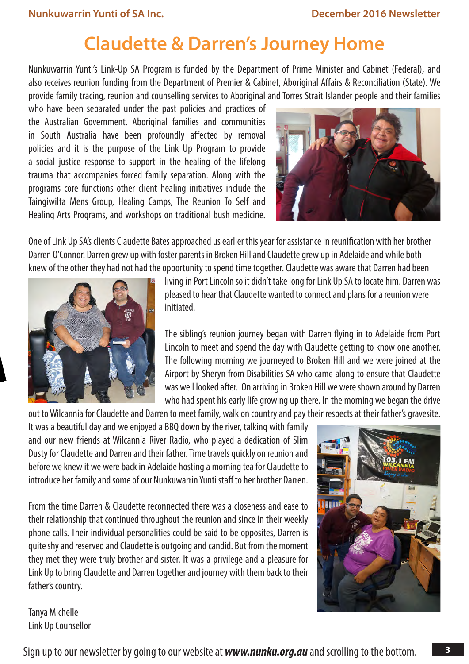### **Claudette & Darren's Journey Home**

Nunkuwarrin Yunti's Link-Up SA Program is funded by the Department of Prime Minister and Cabinet (Federal), and also receives reunion funding from the Department of Premier & Cabinet, Aboriginal Affairs & Reconciliation (State). We provide family tracing, reunion and counselling services to Aboriginal and Torres Strait Islander people and their families

who have been separated under the past policies and practices of the Australian Government. Aboriginal families and communities in South Australia have been profoundly affected by removal policies and it is the purpose of the Link Up Program to provide a social justice response to support in the healing of the lifelong trauma that accompanies forced family separation. Along with the programs core functions other client healing initiatives include the Taingiwilta Mens Group, Healing Camps, The Reunion To Self and Healing Arts Programs, and workshops on traditional bush medicine.



One of Link Up SA's clients Claudette Bates approached us earlier this year for assistance in reunification with her brother Darren O'Connor. Darren grew up with foster parents in Broken Hill and Claudette grew up in Adelaide and while both knew of the other they had not had the opportunity to spend time together. Claudette was aware that Darren had been



living in Port Lincoln so it didn't take long for Link Up SA to locate him. Darren was pleased to hear that Claudette wanted to connect and plans for a reunion were initiated.

The sibling's reunion journey began with Darren flying in to Adelaide from Port Lincoln to meet and spend the day with Claudette getting to know one another. The following morning we journeyed to Broken Hill and we were joined at the Airport by Sheryn from Disabilities SA who came along to ensure that Claudette was well looked after. On arriving in Broken Hill we were shown around by Darren who had spent his early life growing up there. In the morning we began the drive

out to Wilcannia for Claudette and Darren to meet family, walk on country and pay their respects at their father's gravesite. It was a beautiful day and we enjoyed a BBQ down by the river, talking with family and our new friends at Wilcannia River Radio, who played a dedication of Slim Dusty for Claudette and Darren and their father. Time travels quickly on reunion and before we knew it we were back in Adelaide hosting a morning tea for Claudette to introduce her family and some of our Nunkuwarrin Yunti staff to her brother Darren.

From the time Darren & Claudette reconnected there was a closeness and ease to their relationship that continued throughout the reunion and since in their weekly phone calls. Their individual personalities could be said to be opposites, Darren is quite shy and reserved and Claudette is outgoing and candid. But from the moment they met they were truly brother and sister. It was a privilege and a pleasure for Link Up to bring Claudette and Darren together and journey with them back to their father's country.



Tanya Michelle Link Up Counsellor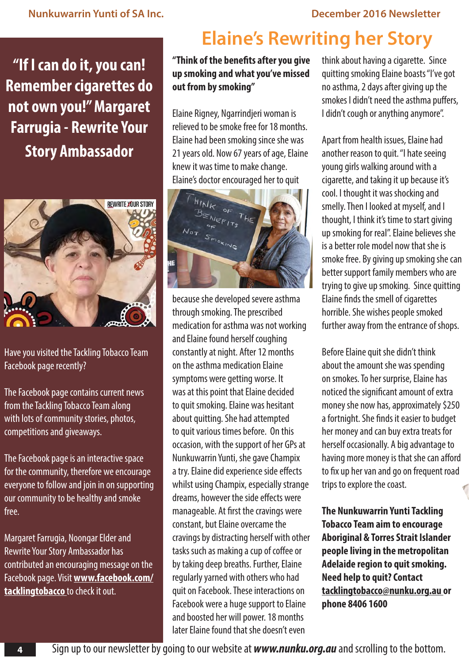**"If I can do it, you can! Remember cigarettes do not own you!" Margaret Farrugia - Rewrite Your Story Ambassador**



Have you visited the Tackling Tobacco Team Facebook page recently?

The Facebook page contains current news from the Tackling Tobacco Team along with lots of community stories, photos, competitions and giveaways.

The Facebook page is an interactive space for the community, therefore we encourage everyone to follow and join in on supporting our community to be healthy and smoke free.

Margaret Farrugia, Noongar Elder and Rewrite Your Story Ambassador has contributed an encouraging message on the Facebook page. Visit **www.facebook.com/ tacklingtobacco** to check it out.

## **Elaine's Rewriting her Story**

**"Think of the benefits after you give up smoking and what you've missed out from by smoking"**

Elaine Rigney, Ngarrindjeri woman is relieved to be smoke free for 18 months. Elaine had been smoking since she was 21 years old. Now 67 years of age, Elaine knew it was time to make change. Elaine's doctor encouraged her to quit



because she developed severe asthma through smoking. The prescribed medication for asthma was not working and Elaine found herself coughing constantly at night. After 12 months on the asthma medication Elaine symptoms were getting worse. It was at this point that Elaine decided to quit smoking. Elaine was hesitant about quitting. She had attempted to quit various times before. On this occasion, with the support of her GPs at Nunkuwarrin Yunti, she gave Champix a try. Elaine did experience side effects whilst using Champix, especially strange dreams, however the side effects were manageable. At first the cravings were constant, but Elaine overcame the cravings by distracting herself with other tasks such as making a cup of coffee or by taking deep breaths. Further, Elaine regularly yarned with others who had quit on Facebook. These interactions on Facebook were a huge support to Elaine and boosted her will power. 18 months later Elaine found that she doesn't even

think about having a cigarette. Since quitting smoking Elaine boasts "I've got no asthma, 2 days after giving up the smokes I didn't need the asthma puffers, I didn't cough or anything anymore".

Apart from health issues, Elaine had another reason to quit. "I hate seeing young girls walking around with a cigarette, and taking it up because it's cool. I thought it was shocking and smelly. Then I looked at myself, and I thought, I think it's time to start giving up smoking for real". Elaine believes she is a better role model now that she is smoke free. By giving up smoking she can better support family members who are trying to give up smoking. Since quitting Elaine finds the smell of cigarettes horrible. She wishes people smoked further away from the entrance of shops.

Before Elaine quit she didn't think about the amount she was spending on smokes. To her surprise, Elaine has noticed the significant amount of extra money she now has, approximately \$250 a fortnight. She finds it easier to budget her money and can buy extra treats for herself occasionally. A big advantage to having more money is that she can afford to fix up her van and go on frequent road trips to explore the coast.

**The Nunkuwarrin Yunti Tackling Tobacco Team aim to encourage Aboriginal & Torres Strait Islander people living in the metropolitan Adelaide region to quit smoking. Need help to quit? Contact tacklingtobacco@nunku.org.au or phone 8406 1600**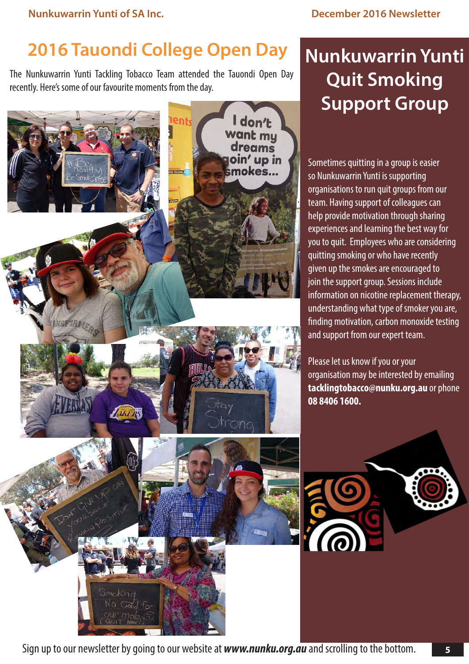## **2016 Tauondi College Open Day**

The Nunkuwarrin Yunti Tackling Tobacco Team attended the Tauondi Open Day recently. Here's some of our favourite moments from the day.



## **Nunkuwarrin Yunti Quit Smoking Support Group**

Sometimes quitting in a group is easier so Nunkuwarrin Yunti is supporting organisations to run quit groups from our team. Having support of colleagues can help provide motivation through sharing experiences and learning the best way for you to quit. Employees who are considering quitting smoking or who have recently given up the smokes are encouraged to join the support group. Sessions include information on nicotine replacement therapy, understanding what type of smoker you are, finding motivation, carbon monoxide testing and support from our expert team.

Please let us know if you or your organisation may be interested by emailing **tacklingtobacco@nunku.org.au** or phone **08 8406 1600.**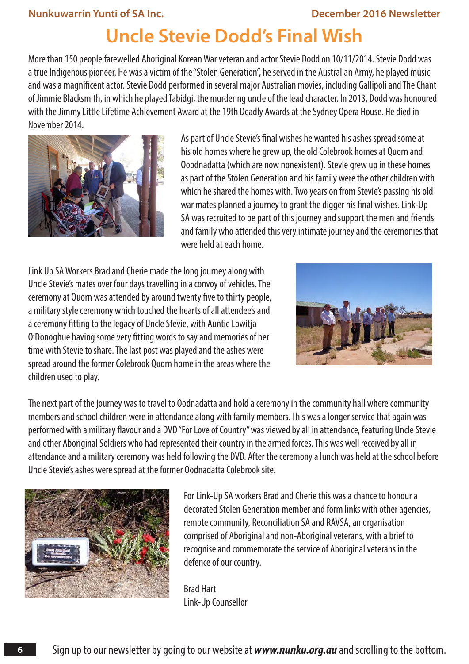### **Nunkuwarrin Yunti of SA Inc. December 2016 Newsletter**

### **Uncle Stevie Dodd's Final Wish**

More than 150 people farewelled Aboriginal Korean War veteran and actor Stevie Dodd on 10/11/2014. Stevie Dodd was a true Indigenous pioneer. He was a victim of the "Stolen Generation", he served in the Australian Army, he played music and was a magnificent actor. Stevie Dodd performed in several major Australian movies, including Gallipoli and The Chant of Jimmie Blacksmith, in which he played Tabidgi, the murdering uncle of the lead character. In 2013, Dodd was honoured with the Jimmy Little Lifetime Achievement Award at the 19th Deadly Awards at the Sydney Opera House. He died in November 2014.



As part of Uncle Stevie's final wishes he wanted his ashes spread some at his old homes where he grew up, the old Colebrook homes at Quorn and Ooodnadatta (which are now nonexistent). Stevie grew up in these homes as part of the Stolen Generation and his family were the other children with which he shared the homes with. Two years on from Stevie's passing his old war mates planned a journey to grant the digger his final wishes. Link-Up SA was recruited to be part of this journey and support the men and friends and family who attended this very intimate journey and the ceremonies that were held at each home.

Link Up SA Workers Brad and Cherie made the long journey along with Uncle Stevie's mates over four days travelling in a convoy of vehicles. The ceremony at Quorn was attended by around twenty five to thirty people, a military style ceremony which touched the hearts of all attendee's and a ceremony fitting to the legacy of Uncle Stevie, with Auntie Lowitja O'Donoghue having some very fitting words to say and memories of her time with Stevie to share. The last post was played and the ashes were spread around the former Colebrook Quorn home in the areas where the children used to play.



The next part of the journey was to travel to Oodnadatta and hold a ceremony in the community hall where community members and school children were in attendance along with family members. This was a longer service that again was performed with a military flavour and a DVD "For Love of Country" was viewed by all in attendance, featuring Uncle Stevie and other Aboriginal Soldiers who had represented their country in the armed forces. This was well received by all in attendance and a military ceremony was held following the DVD. After the ceremony a lunch was held at the school before Uncle Stevie's ashes were spread at the former Oodnadatta Colebrook site.



**6**

For Link-Up SA workers Brad and Cherie this was a chance to honour a decorated Stolen Generation member and form links with other agencies, remote community, Reconciliation SA and RAVSA, an organisation comprised of Aboriginal and non-Aboriginal veterans, with a brief to recognise and commemorate the service of Aboriginal veterans in the defence of our country.

Brad Hart Link-Up Counsellor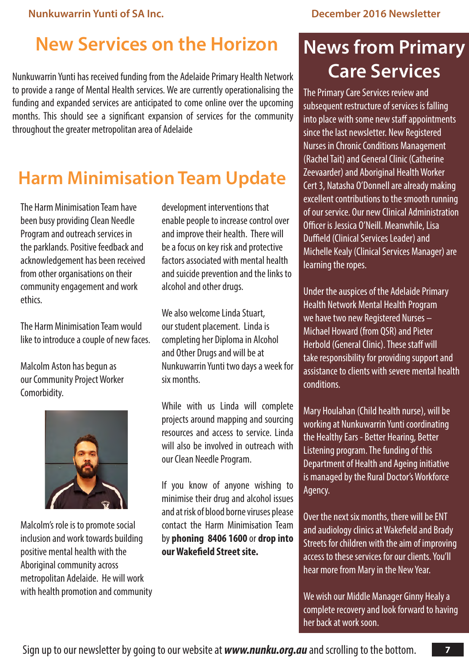## **New Services on the Horizon**

Nunkuwarrin Yunti has received funding from the Adelaide Primary Health Network to provide a range of Mental Health services. We are currently operationalising the funding and expanded services are anticipated to come online over the upcoming months. This should see a significant expansion of services for the community throughout the greater metropolitan area of Adelaide

## **Harm Minimisation Team Update**

The Harm Minimisation Team have been busy providing Clean Needle Program and outreach services in the parklands. Positive feedback and acknowledgement has been received from other organisations on their community engagement and work ethics.

The Harm Minimisation Team would like to introduce a couple of new faces.

Malcolm Aston has begun as our Community Project Worker Comorbidity.



Malcolm's role is to promote social inclusion and work towards building positive mental health with the Aboriginal community across metropolitan Adelaide. He will work with health promotion and community

development interventions that enable people to increase control over and improve their health. There will be a focus on key risk and protective factors associated with mental health and suicide prevention and the links to alcohol and other drugs.

We also welcome Linda Stuart, our student placement. Linda is completing her Diploma in Alcohol and Other Drugs and will be at Nunkuwarrin Yunti two days a week for six months.

While with us Linda will complete projects around mapping and sourcing resources and access to service. Linda will also be involved in outreach with our Clean Needle Program.

If you know of anyone wishing to minimise their drug and alcohol issues and at risk of blood borne viruses please contact the Harm Minimisation Team by **phoning 8406 1600** or **drop into our Wakefield Street site.**

## **News from Primary Care Services**

The Primary Care Services review and subsequent restructure of services is falling into place with some new staff appointments since the last newsletter. New Registered Nurses in Chronic Conditions Management (Rachel Tait) and General Clinic (Catherine Zeevaarder) and Aboriginal Health Worker Cert 3, Natasha O'Donnell are already making excellent contributions to the smooth running of our service. Our new Clinical Administration Officer is Jessica O'Neill. Meanwhile, Lisa Duffield (Clinical Services Leader) and Michelle Kealy (Clinical Services Manager) are learning the ropes.

Under the auspices of the Adelaide Primary Health Network Mental Health Program we have two new Registered Nurses – Michael Howard (from QSR) and Pieter Herbold (General Clinic). These staff will take responsibility for providing support and assistance to clients with severe mental health conditions.

Mary Houlahan (Child health nurse), will be working at Nunkuwarrin Yunti coordinating the Healthy Ears - Better Hearing, Better Listening program. The funding of this Department of Health and Ageing initiative is managed by the Rural Doctor's Workforce Agency.

Over the next six months, there will be ENT and audiology clinics at Wakefield and Brady Streets for children with the aim of improving access to these services for our clients. You'll hear more from Mary in the New Year.

We wish our Middle Manager Ginny Healy a complete recovery and look forward to having her back at work soon.